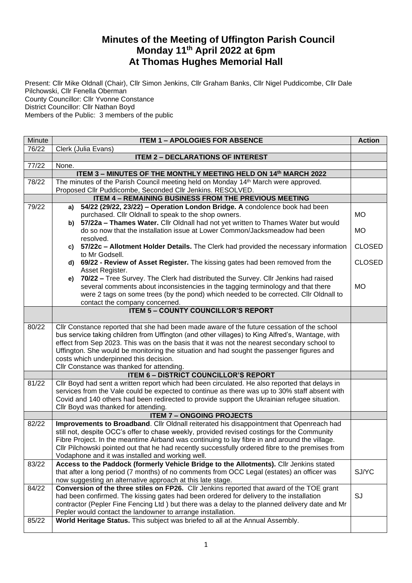## **Minutes of the Meeting of Uffington Parish Council Monday 11 th April 2022 at 6pm At Thomas Hughes Memorial Hall**

Present: Cllr Mike Oldnall (Chair), Cllr Simon Jenkins, Cllr Graham Banks, Cllr Nigel Puddicombe, Cllr Dale Pilchowski, Cllr Fenella Oberman County Councillor: Cllr Yvonne Constance District Councillor: Cllr Nathan Boyd Members of the Public: 3 members of the public

| Minute | <b>ITEM 1 - APOLOGIES FOR ABSENCE</b>                                                                                                                                                         |               |  |  |  |
|--------|-----------------------------------------------------------------------------------------------------------------------------------------------------------------------------------------------|---------------|--|--|--|
| 76/22  | Clerk (Julia Evans)                                                                                                                                                                           |               |  |  |  |
|        | <b>ITEM 2 - DECLARATIONS OF INTEREST</b>                                                                                                                                                      |               |  |  |  |
| 77/22  | None.                                                                                                                                                                                         |               |  |  |  |
|        | ITEM 3 - MINUTES OF THE MONTHLY MEETING HELD ON 14th MARCH 2022                                                                                                                               |               |  |  |  |
| 78/22  | The minutes of the Parish Council meeting held on Monday 14th March were approved.                                                                                                            |               |  |  |  |
|        | Proposed Cllr Puddicombe, Seconded Cllr Jenkins. RESOLVED.                                                                                                                                    |               |  |  |  |
|        | <b>ITEM 4 - REMAINING BUSINESS FROM THE PREVIOUS MEETING</b>                                                                                                                                  |               |  |  |  |
| 79/22  | 54/22 (29/22, 23/22) - Operation London Bridge. A condolence book had been<br>a)                                                                                                              | <b>MO</b>     |  |  |  |
|        | purchased. Cllr Oldnall to speak to the shop owners.<br>b) 57/22a - Thames Water. Cllr Oldnall had not yet written to Thames Water but would                                                  |               |  |  |  |
|        | do so now that the installation issue at Lower Common/Jacksmeadow had been                                                                                                                    | <b>MO</b>     |  |  |  |
|        | resolved.                                                                                                                                                                                     |               |  |  |  |
|        | c) 57/22c - Allotment Holder Details. The Clerk had provided the necessary information                                                                                                        | <b>CLOSED</b> |  |  |  |
|        | to Mr Godsell.                                                                                                                                                                                |               |  |  |  |
|        | 69/22 - Review of Asset Register. The kissing gates had been removed from the<br>d)                                                                                                           | <b>CLOSED</b> |  |  |  |
|        | Asset Register.                                                                                                                                                                               |               |  |  |  |
|        | 70/22 - Tree Survey. The Clerk had distributed the Survey. Cllr Jenkins had raised<br>e)                                                                                                      |               |  |  |  |
|        | several comments about inconsistencies in the tagging terminology and that there                                                                                                              | <b>MO</b>     |  |  |  |
|        | were 2 tags on some trees (by the pond) which needed to be corrected. Cllr Oldnall to                                                                                                         |               |  |  |  |
|        | contact the company concerned.                                                                                                                                                                |               |  |  |  |
|        | <b>ITEM 5 - COUNTY COUNCILLOR'S REPORT</b>                                                                                                                                                    |               |  |  |  |
| 80/22  | Cllr Constance reported that she had been made aware of the future cessation of the school                                                                                                    |               |  |  |  |
|        | bus service taking children from Uffington (and other villages) to King Alfred's, Wantage, with                                                                                               |               |  |  |  |
|        | effect from Sep 2023. This was on the basis that it was not the nearest secondary school to                                                                                                   |               |  |  |  |
|        | Uffington. She would be monitoring the situation and had sought the passenger figures and                                                                                                     |               |  |  |  |
|        | costs which underpinned this decision.                                                                                                                                                        |               |  |  |  |
|        | Cllr Constance was thanked for attending.                                                                                                                                                     |               |  |  |  |
|        | <b>ITEM 6 - DISTRICT COUNCILLOR'S REPORT</b>                                                                                                                                                  |               |  |  |  |
| 81/22  | Cllr Boyd had sent a written report which had been circulated. He also reported that delays in                                                                                                |               |  |  |  |
|        | services from the Vale could be expected to continue as there was up to 30% staff absent with<br>Covid and 140 others had been redirected to provide support the Ukrainian refugee situation. |               |  |  |  |
|        | Cllr Boyd was thanked for attending.                                                                                                                                                          |               |  |  |  |
|        | <b>ITEM 7 - ONGOING PROJECTS</b>                                                                                                                                                              |               |  |  |  |
| 82/22  | Improvements to Broadband. Cllr Oldnall reiterated his disappointment that Openreach had                                                                                                      |               |  |  |  |
|        | still not, despite OCC's offer to chase weekly, provided revised costings for the Community                                                                                                   |               |  |  |  |
|        | Fibre Project. In the meantime Airband was continuing to lay fibre in and around the village.                                                                                                 |               |  |  |  |
|        | Cllr Pilchowski pointed out that he had recently successfully ordered fibre to the premises from                                                                                              |               |  |  |  |
|        | Vodaphone and it was installed and working well.                                                                                                                                              |               |  |  |  |
| 83/22  | Access to the Paddock (formerly Vehicle Bridge to the Allotments). Cllr Jenkins stated                                                                                                        |               |  |  |  |
|        | that after a long period (7 months) of no comments from OCC Legal (estates) an officer was                                                                                                    | SJ/YC         |  |  |  |
|        | now suggesting an alternative approach at this late stage.                                                                                                                                    |               |  |  |  |
| 84/22  | Conversion of the three stiles on FP26. Cllr Jenkins reported that award of the TOE grant                                                                                                     | SJ            |  |  |  |
|        | had been confirmed. The kissing gates had been ordered for delivery to the installation                                                                                                       |               |  |  |  |
|        | contractor (Pepler Fine Fencing Ltd) but there was a delay to the planned delivery date and Mr<br>Pepler would contact the landowner to arrange installation.                                 |               |  |  |  |
| 85/22  | World Heritage Status. This subject was briefed to all at the Annual Assembly.                                                                                                                |               |  |  |  |
|        |                                                                                                                                                                                               |               |  |  |  |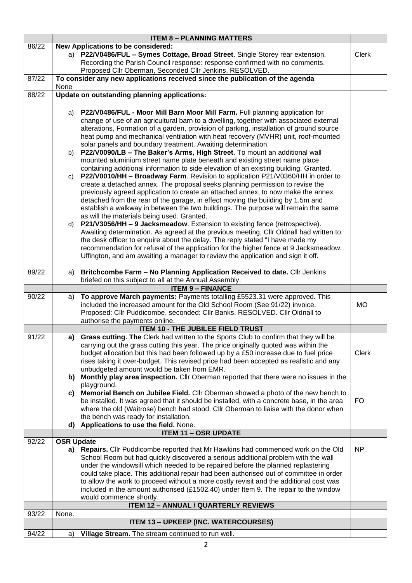|       |                                                                                                                                                                              | <b>ITEM 8 - PLANNING MATTERS</b>                                                                                                                                                 |           |  |  |
|-------|------------------------------------------------------------------------------------------------------------------------------------------------------------------------------|----------------------------------------------------------------------------------------------------------------------------------------------------------------------------------|-----------|--|--|
| 86/22 | New Applications to be considered:                                                                                                                                           |                                                                                                                                                                                  |           |  |  |
|       | a) P22/V0486/FUL - Symes Cottage, Broad Street. Single Storey rear extension.<br><b>Clerk</b><br>Recording the Parish Council response: response confirmed with no comments. |                                                                                                                                                                                  |           |  |  |
|       | Proposed Cllr Oberman, Seconded Cllr Jenkins. RESOLVED.                                                                                                                      |                                                                                                                                                                                  |           |  |  |
| 87/22 |                                                                                                                                                                              | To consider any new applications received since the publication of the agenda                                                                                                    |           |  |  |
|       | None                                                                                                                                                                         |                                                                                                                                                                                  |           |  |  |
| 88/22 |                                                                                                                                                                              | Update on outstanding planning applications:                                                                                                                                     |           |  |  |
|       |                                                                                                                                                                              |                                                                                                                                                                                  |           |  |  |
|       | a)                                                                                                                                                                           | P22/V0486/FUL - Moor Mill Barn Moor Mill Farm. Full planning application for<br>change of use of an agricultural barn to a dwelling, together with associated external           |           |  |  |
|       |                                                                                                                                                                              | alterations, Formation of a garden, provision of parking, installation of ground source                                                                                          |           |  |  |
|       |                                                                                                                                                                              | heat pump and mechanical ventilation with heat recovery (MVHR) unit, roof-mounted                                                                                                |           |  |  |
|       |                                                                                                                                                                              | solar panels and boundary treatment. Awaiting determination.                                                                                                                     |           |  |  |
|       | b)                                                                                                                                                                           | P22/V0090/LB - The Baker's Arms, High Street. To mount an additional wall                                                                                                        |           |  |  |
|       |                                                                                                                                                                              | mounted aluminium street name plate beneath and existing street name place                                                                                                       |           |  |  |
|       |                                                                                                                                                                              | containing additional information to side elevation of an existing building. Granted.<br>P22/V0010/HH - Broadway Farm. Revision to application P21/V0360/HH in order to          |           |  |  |
|       | C)                                                                                                                                                                           | create a detached annex. The proposal seeks planning permission to revise the                                                                                                    |           |  |  |
|       |                                                                                                                                                                              | previously agreed application to create an attached annex, to now make the annex                                                                                                 |           |  |  |
|       |                                                                                                                                                                              | detached from the rear of the garage, in effect moving the building by 1.5m and                                                                                                  |           |  |  |
|       |                                                                                                                                                                              | establish a walkway in between the two buildings. The purpose will remain the same                                                                                               |           |  |  |
|       |                                                                                                                                                                              | as will the materials being used. Granted.                                                                                                                                       |           |  |  |
|       |                                                                                                                                                                              | d) P21/V3056/HH - 9 Jacksmeadow. Extension to existing fence (retrospective).<br>Awaiting determination. As agreed at the previous meeting, Cllr Oldnall had written to          |           |  |  |
|       |                                                                                                                                                                              | the desk officer to enquire about the delay. The reply stated "I have made my                                                                                                    |           |  |  |
|       |                                                                                                                                                                              | recommendation for refusal of the application for the higher fence at 9 Jacksmeadow,                                                                                             |           |  |  |
|       |                                                                                                                                                                              | Uffington, and am awaiting a manager to review the application and sign it off.                                                                                                  |           |  |  |
| 89/22 | a)                                                                                                                                                                           | Britchcombe Farm - No Planning Application Received to date. Cllr Jenkins                                                                                                        |           |  |  |
|       |                                                                                                                                                                              | briefed on this subject to all at the Annual Assembly.                                                                                                                           |           |  |  |
|       |                                                                                                                                                                              | <b>ITEM 9 - FINANCE</b>                                                                                                                                                          |           |  |  |
|       |                                                                                                                                                                              |                                                                                                                                                                                  |           |  |  |
| 90/22 | a)                                                                                                                                                                           | To approve March payments: Payments totalling £5523.31 were approved. This                                                                                                       |           |  |  |
|       |                                                                                                                                                                              | included the increased amount for the Old School Room (See 91/22) invoice.                                                                                                       | <b>MO</b> |  |  |
|       |                                                                                                                                                                              | Proposed: Cllr Puddicombe, seconded: Cllr Banks. RESOLVED. Cllr Oldnall to                                                                                                       |           |  |  |
|       |                                                                                                                                                                              | authorise the payments online.                                                                                                                                                   |           |  |  |
| 91/22 |                                                                                                                                                                              | <b>ITEM 10 - THE JUBILEE FIELD TRUST</b><br>a) Grass cutting. The Clerk had written to the Sports Club to confirm that they will be                                              |           |  |  |
|       |                                                                                                                                                                              | carrying out the grass cutting this year. The price originally quoted was within the                                                                                             |           |  |  |
|       |                                                                                                                                                                              | budget allocation but this had been followed up by a £50 increase due to fuel price                                                                                              | Clerk     |  |  |
|       |                                                                                                                                                                              | rises taking it over-budget. This revised price had been accepted as realistic and any                                                                                           |           |  |  |
|       |                                                                                                                                                                              | unbudgeted amount would be taken from EMR.                                                                                                                                       |           |  |  |
|       | b)                                                                                                                                                                           | Monthly play area inspection. Cllr Oberman reported that there were no issues in the<br>playground.                                                                              |           |  |  |
|       | C)                                                                                                                                                                           | Memorial Bench on Jubilee Field. Cllr Oberman showed a photo of the new bench to                                                                                                 |           |  |  |
|       |                                                                                                                                                                              | be installed. It was agreed that it should be installed, with a concrete base, in the area                                                                                       | FO.       |  |  |
|       |                                                                                                                                                                              | where the old (Waitrose) bench had stood. Cllr Oberman to liaise with the donor when                                                                                             |           |  |  |
|       |                                                                                                                                                                              | the bench was ready for installation.                                                                                                                                            |           |  |  |
|       | d)                                                                                                                                                                           | Applications to use the field. None.<br><b>ITEM 11 - OSR UPDATE</b>                                                                                                              |           |  |  |
| 92/22 | <b>OSR Update</b>                                                                                                                                                            |                                                                                                                                                                                  |           |  |  |
|       |                                                                                                                                                                              | a) Repairs. Cllr Puddicombe reported that Mr Hawkins had commenced work on the Old                                                                                               | NP        |  |  |
|       |                                                                                                                                                                              | School Room but had quickly discovered a serious additional problem with the wall                                                                                                |           |  |  |
|       |                                                                                                                                                                              | under the windowsill which needed to be repaired before the planned replastering                                                                                                 |           |  |  |
|       |                                                                                                                                                                              | could take place. This additional repair had been authorised out of committee in order<br>to allow the work to proceed without a more costly revisit and the additional cost was |           |  |  |
|       |                                                                                                                                                                              | included in the amount authorised (£1502.40) under Item 9. The repair to the window                                                                                              |           |  |  |
|       |                                                                                                                                                                              | would commence shortly.                                                                                                                                                          |           |  |  |
|       |                                                                                                                                                                              | <b>ITEM 12 - ANNUAL / QUARTERLY REVIEWS</b>                                                                                                                                      |           |  |  |
| 93/22 | None.                                                                                                                                                                        |                                                                                                                                                                                  |           |  |  |
| 94/22 | a)                                                                                                                                                                           | <b>ITEM 13 - UPKEEP (INC. WATERCOURSES)</b><br>Village Stream. The stream continued to run well.                                                                                 |           |  |  |